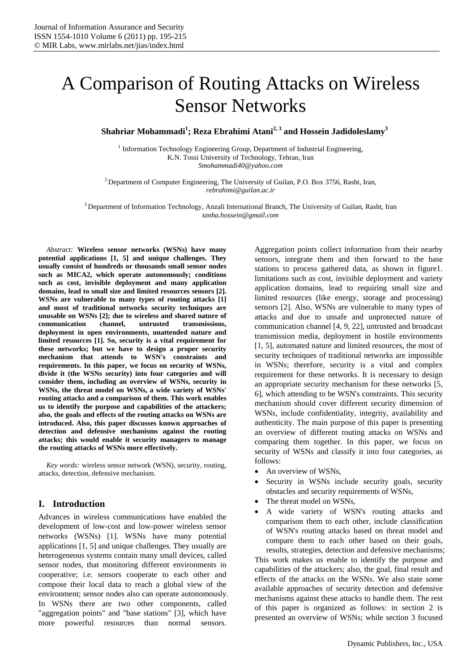# A Comparison of Routing Attacks on Wireless Sensor Networks

**Shahriar Mohammadi<sup>1</sup> ; Reza Ebrahimi Atani2, 3 and Hossein Jadidoleslamy3** 

 $1$  Information Technology Engineering Group, Department of Industrial Engineering, K.N. Tossi University of Technology, Tehran, Iran *Smohammadi40@yahoo.com* 

 $2$  Department of Computer Engineering, The University of Guilan, P.O. Box 3756, Rasht, Iran, *rebrahimi@guilan.ac.ir* 

3 Department of Information Technology, Anzali International Branch, The University of Guilan, Rasht, Iran *tanha.hossein@gmail.com* 

*Abstract:* **Wireless sensor networks (WSNs) have many potential applications [1, 5] and unique challenges. They usually consist of hundreds or thousands small sensor nodes such as MICA2, which operate autonomously; conditions such as cost, invisible deployment and many application domains, lead to small size and limited resources sensors [2]. WSNs are vulnerable to many types of routing attacks [1] and most of traditional networks security techniques are unusable on WSNs [2]; due to wireless and shared nature of communication channel, untrusted transmissions, deployment in open environments, unattended nature and limited resources [1]. So, security is a vital requirement for these networks; but we have to design a proper security mechanism that attends to WSN's constraints and requirements. In this paper, we focus on security of WSNs, divide it (the WSNs security) into four categories and will consider them, including an overview of WSNs, security in WSNs, the threat model on WSNs, a wide variety of WSNs' routing attacks and a comparison of them. This work enables us to identify the purpose and capabilities of the attackers; also, the goals and effects of the routing attacks on WSNs are introduced. Also, this paper discusses known approaches of detection and defensive mechanisms against the routing attacks; this would enable it security managers to manage the routing attacks of WSNs more effectively.** 

*Key words:* wireless sensor network (WSN), security, routing, attacks, detection, defensive mechanism.

# **I. Introduction**

Advances in wireless communications have enabled the development of low-cost and low-power wireless sensor networks (WSNs) [1]. WSNs have many potential applications [1, 5] and unique challenges. They usually are heterogeneous systems contain many small devices, called sensor nodes, that monitoring different environments in cooperative; i.e. sensors cooperate to each other and compose their local data to reach a global view of the environment; sensor nodes also can operate autonomously. In WSNs there are two other components, called "aggregation points" and "base stations" [3], which have more powerful resources than normal sensors.

Aggregation points collect information from their nearby sensors, integrate them and then forward to the base stations to process gathered data, as shown in figure1. limitations such as cost, invisible deployment and variety application domains, lead to requiring small size and limited resources (like energy, storage and processing) sensors [2]. Also, WSNs are vulnerable to many types of attacks and due to unsafe and unprotected nature of communication channel [4, 9, 22], untrusted and broadcast transmission media, deployment in hostile environments [1, 5], automated nature and limited resources, the most of security techniques of traditional networks are impossible in WSNs; therefore, security is a vital and complex requirement for these networks. It is necessary to design an appropriate security mechanism for these networks [5, 6], which attending to be WSN's constraints. This security mechanism should cover different security dimension of WSNs, include confidentiality, integrity, availability and authenticity. The main purpose of this paper is presenting an overview of different routing attacks on WSNs and comparing them together. In this paper, we focus on security of WSNs and classify it into four categories, as follows:

- An overview of WSNs,
- Security in WSNs include security goals, security obstacles and security requirements of WSNs,
- The threat model on WSNs,
- A wide variety of WSN's routing attacks and comparison them to each other, include classification of WSN's routing attacks based on threat model and compare them to each other based on their goals,

results, strategies, detection and defensive mechanisms; This work makes us enable to identify the purpose and capabilities of the attackers; also, the goal, final result and effects of the attacks on the WSNs. We also state some available approaches of security detection and defensive mechanisms against these attacks to handle them. The rest of this paper is organized as follows: in section 2 is presented an overview of WSNs; while section 3 focused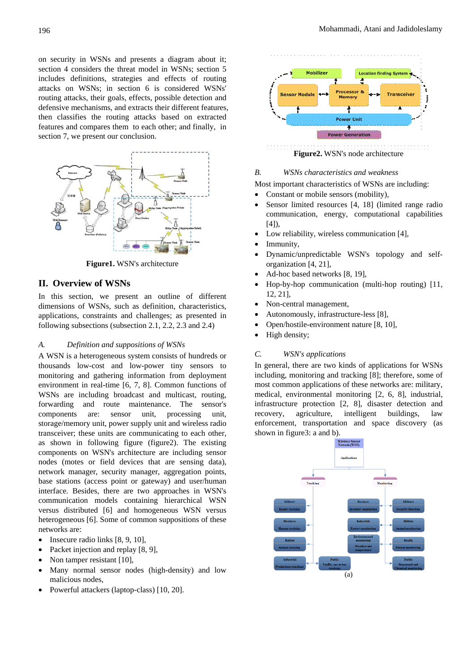on security in WSNs and presents a diagram about it; section 4 considers the threat model in WSNs; section 5 includes definitions, strategies and effects of routing attacks on WSNs; in section 6 is considered WSNs' routing attacks, their goals, effects, possible detection and defensive mechanisms, and extracts their different features, then classifies the routing attacks based on extracted features and compares them to each other; and finally, in section 7, we present our conclusion.



**Figure1.** WSN's architecture

# **II. Overview of WSNs**

In this section, we present an outline of different dimensions of WSNs, such as definition, characteristics, applications, constraints and challenges; as presented in following subsections (subsection 2.1, 2.2, 2.3 and 2.4)

#### *A. Definition and suppositions of WSNs*

A WSN is a heterogeneous system consists of hundreds or thousands low-cost and low-power tiny sensors to monitoring and gathering information from deployment environment in real-time [6, 7, 8]. Common functions of WSNs are including broadcast and multicast, routing, forwarding and route maintenance. The sensor's components are: sensor unit, processing unit, storage/memory unit, power supply unit and wireless radio transceiver; these units are communicating to each other, as shown in following figure (figure2). The existing components on WSN's architecture are including sensor nodes (motes or field devices that are sensing data), network manager, security manager, aggregation points, base stations (access point or gateway) and user/human interface. Besides, there are two approaches in WSN's communication models containing hierarchical WSN versus distributed [6] and homogeneous WSN versus heterogeneous [6]. Some of common suppositions of these networks are:

- Insecure radio links [8, 9, 10],
- Packet injection and replay [8, 9],
- Non tamper resistant [10],
- Many normal sensor nodes (high-density) and low malicious nodes,
- Powerful attackers (laptop-class) [10, 20].



*B. WSNs characteristics and weakness* 

Most important characteristics of WSNs are including:

- Constant or mobile sensors (mobility),
- Sensor limited resources [4, 18] (limited range radio communication, energy, computational capabilities  $[4]$ ),
- Low reliability, wireless communication [4],
- Immunity,
- Dynamic/unpredictable WSN's topology and selforganization [4, 21],
- Ad-hoc based networks [8, 19],
- Hop-by-hop communication (multi-hop routing) [11, 12, 21],
- Non-central management,
- Autonomously, infrastructure-less [8],
- Open/hostile-environment nature [8, 10],
- High density;

#### *C. WSN's applications*

In general, there are two kinds of applications for WSNs including, monitoring and tracking [8]; therefore, some of most common applications of these networks are: military, medical, environmental monitoring [2, 6, 8], industrial, infrastructure protection [2, 8], disaster detection and recovery, agriculture, intelligent buildings, law enforcement, transportation and space discovery (as shown in figure3: a and b).

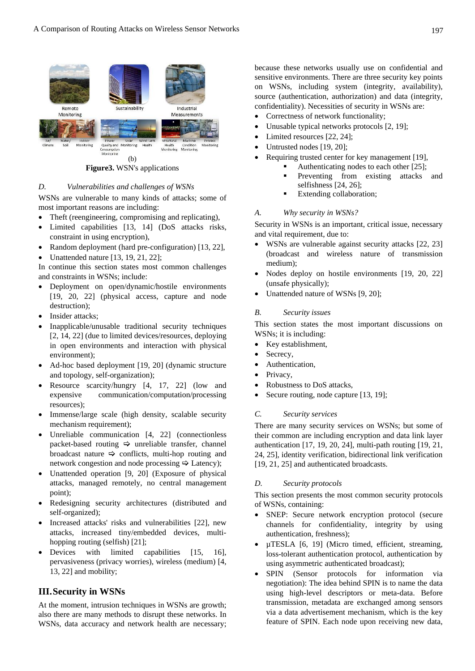

**Figure3.** WSN's applications

#### *D. Vulnerabilities and challenges of WSNs*

WSNs are vulnerable to many kinds of attacks; some of most important reasons are including:

- Theft (reengineering, compromising and replicating),
- Limited capabilities [13, 14] (DoS attacks risks, constraint in using encryption),
- Random deployment (hard pre-configuration) [13, 22],
- Unattended nature [13, 19, 21, 22];

In continue this section states most common challenges and constraints in WSNs; include:

- Deployment on open/dynamic/hostile environments [19, 20, 22] (physical access, capture and node destruction);
- Insider attacks;
- Inapplicable/unusable traditional security techniques [2, 14, 22] (due to limited devices/resources, deploying in open environments and interaction with physical environment);
- Ad-hoc based deployment [19, 20] (dynamic structure and topology, self-organization);
- Resource scarcity/hungry [4, 17, 22] (low and expensive communication/computation/processing resources);
- Immense/large scale (high density, scalable security mechanism requirement);
- Unreliable communication [4, 22] (connectionless packet-based routing  $\Rightarrow$  unreliable transfer, channel broadcast nature  $\Rightarrow$  conflicts, multi-hop routing and network congestion and node processing  $\Rightarrow$  Latency);
- Unattended operation [9, 20] (Exposure of physical attacks, managed remotely, no central management point);
- Redesigning security architectures (distributed and self-organized);
- Increased attacks' risks and vulnerabilities [22], new attacks, increased tiny/embedded devices, multihopping routing (selfish) [21];
- Devices with limited capabilities [15, 16], pervasiveness (privacy worries), wireless (medium) [4, 13, 22] and mobility;

# **III.Security in WSNs**

At the moment, intrusion techniques in WSNs are growth; also there are many methods to disrupt these networks. In WSNs, data accuracy and network health are necessary; because these networks usually use on confidential and sensitive environments. There are three security key points on WSNs, including system (integrity, availability), source (authentication, authorization) and data (integrity, confidentiality). Necessities of security in WSNs are:

- Correctness of network functionality;
- Unusable typical networks protocols [2, 19];
- Limited resources [22, 24];
- Untrusted nodes [19, 20];
- Requiring trusted center for key management [19],
	- Authenticating nodes to each other [25];
	- Preventing from existing attacks and selfishness [24, 26];
	- Extending collaboration;

#### *A. Why security in WSNs?*

Security in WSNs is an important, critical issue, necessary and vital requirement, due to:

- WSNs are vulnerable against security attacks [22, 23] (broadcast and wireless nature of transmission medium);
- Nodes deploy on hostile environments [19, 20, 22] (unsafe physically);
- Unattended nature of WSNs [9, 20];

#### *B. Security issues*

This section states the most important discussions on WSNs; it is including:

- Key establishment,
- Secrecy.
- Authentication.
- Privacy,
- Robustness to DoS attacks,
- Secure routing, node capture [13, 19];

#### *C. Security services*

There are many security services on WSNs; but some of their common are including encryption and data link layer authentication [17, 19, 20, 24], multi-path routing [19, 21, 24, 25], identity verification, bidirectional link verification [19, 21, 25] and authenticated broadcasts.

#### *D. Security protocols*

This section presents the most common security protocols of WSNs, containing:

- SNEP: Secure network encryption protocol (secure channels for confidentiality, integrity by using authentication, freshness);
- µTESLA [6, 19] (Micro timed, efficient, streaming, loss-tolerant authentication protocol, authentication by using asymmetric authenticated broadcast);
- SPIN (Sensor protocols for information via negotiation): The idea behind SPIN is to name the data using high-level descriptors or meta-data. Before transmission, metadata are exchanged among sensors via a data advertisement mechanism, which is the key feature of SPIN. Each node upon receiving new data,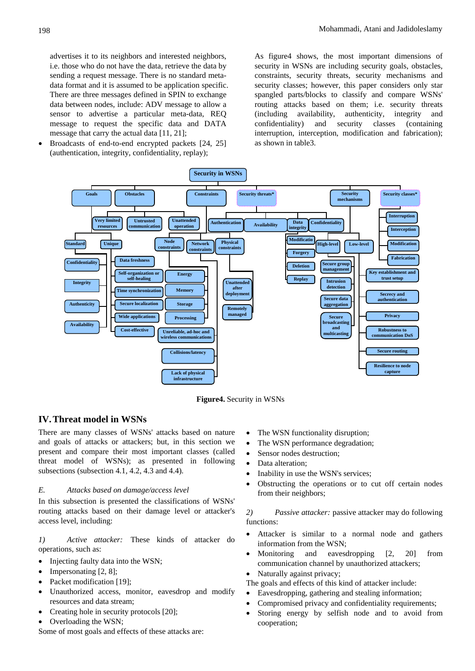advertises it to its neighbors and interested neighbors, i.e. those who do not have the data, retrieve the data by sending a request message. There is no standard metadata format and it is assumed to be application specific. There are three messages defined in SPIN to exchange data between nodes, include: ADV message to allow a sensor to advertise a particular meta-data, REQ message to request the specific data and DATA message that carry the actual data [11, 21];

• Broadcasts of end-to-end encrypted packets [24, 25] (authentication, integrity, confidentiality, replay);

As figure4 shows, the most important dimensions of security in WSNs are including security goals, obstacles, constraints, security threats, security mechanisms and security classes; however, this paper considers only star spangled parts/blocks to classify and compare WSNs' routing attacks based on them; i.e. security threats (including availability, authenticity, integrity and confidentiality) and security classes (containing interruption, interception, modification and fabrication); as shown in table3.



**Figure4.** Security in WSNs

# **IV.Threat model in WSNs**

There are many classes of WSNs' attacks based on nature and goals of attacks or attackers; but, in this section we present and compare their most important classes (called threat model of WSNs); as presented in following subsections (subsection 4.1, 4.2, 4.3 and 4.4).

#### *E. Attacks based on damage/access level*

In this subsection is presented the classifications of WSNs' routing attacks based on their damage level or attacker's access level, including:

*1) Active attacker:* These kinds of attacker do operations, such as:

- Injecting faulty data into the WSN;
- Impersonating [2, 8];
- Packet modification [19];
- Unauthorized access, monitor, eavesdrop and modify resources and data stream;
- Creating hole in security protocols [20];
- Overloading the WSN;

Some of most goals and effects of these attacks are:

- The WSN functionality disruption;
- The WSN performance degradation;
- Sensor nodes destruction;
- Data alteration:
- Inability in use the WSN's services;
- Obstructing the operations or to cut off certain nodes from their neighbors;

*2) Passive attacker:* passive attacker may do following functions:

- Attacker is similar to a normal node and gathers information from the WSN;
- Monitoring and eavesdropping [2, 20] from communication channel by unauthorized attackers;
- Naturally against privacy;
- The goals and effects of this kind of attacker include:
- Eavesdropping, gathering and stealing information;
- Compromised privacy and confidentiality requirements;
- Storing energy by selfish node and to avoid from cooperation;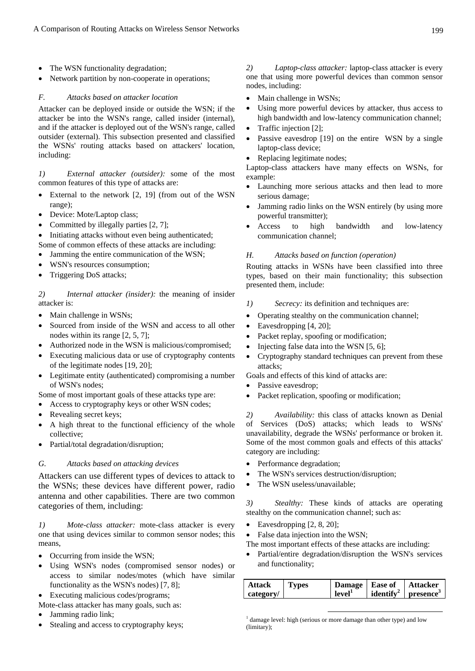- The WSN functionality degradation;
- Network partition by non-cooperate in operations;

#### *F. Attacks based on attacker location*

Attacker can be deployed inside or outside the WSN; if the attacker be into the WSN's range, called insider (internal), and if the attacker is deployed out of the WSN's range, called outsider (external). This subsection presented and classified the WSNs' routing attacks based on attackers' location, including:

*1) External attacker (outsider):* some of the most common features of this type of attacks are:

- External to the network [2, 19] (from out of the WSN range);
- Device: Mote/Laptop class;
- Committed by illegally parties [2, 7];

Initiating attacks without even being authenticated; Some of common effects of these attacks are including:

- Jamming the entire communication of the WSN;
- WSN's resources consumption;
- Triggering DoS attacks;

*2) Internal attacker (insider):* the meaning of insider attacker is:

- Main challenge in WSNs;
- Sourced from inside of the WSN and access to all other nodes within its range [2, 5, 7];
- Authorized node in the WSN is malicious/compromised;
- Executing malicious data or use of cryptography contents of the legitimate nodes [19, 20];
- Legitimate entity (authenticated) compromising a number of WSN's nodes;

Some of most important goals of these attacks type are:

- Access to cryptography keys or other WSN codes;
- Revealing secret keys;
- A high threat to the functional efficiency of the whole collective;
- Partial/total degradation/disruption;

# *G. Attacks based on attacking devices*

Attackers can use different types of devices to attack to the WSNs; these devices have different power, radio antenna and other capabilities. There are two common categories of them, including:

*1) Mote-class attacker:* mote-class attacker is every one that using devices similar to common sensor nodes; this means,

- Occurring from inside the WSN;
- Using WSN's nodes (compromised sensor nodes) or access to similar nodes/motes (which have similar functionality as the WSN's nodes) [7, 8];
- Executing malicious codes/programs;

Mote-class attacker has many goals, such as:

- Jamming radio link;
- Stealing and access to cryptography keys;

*2) Laptop-class attacker:* laptop-class attacker is every one that using more powerful devices than common sensor nodes, including:

- Main challenge in WSNs;
- Using more powerful devices by attacker, thus access to high bandwidth and low-latency communication channel;
- Traffic injection [2];
- Passive eavesdrop [19] on the entire WSN by a single laptop-class device;
- Replacing legitimate nodes;

Laptop-class attackers have many effects on WSNs, for example:

- Launching more serious attacks and then lead to more serious damage;
- Jamming radio links on the WSN entirely (by using more powerful transmitter);
- Access to high bandwidth and low-latency communication channel;

#### *H. Attacks based on function (operation)*

Routing attacks in WSNs have been classified into three types, based on their main functionality; this subsection presented them, include:

- *1) Secrecy:* its definition and techniques are:
- Operating stealthy on the communication channel;
- Eavesdropping [4, 20];
- Packet replay, spoofing or modification;
- Injecting false data into the WSN [5, 6];
- Cryptography standard techniques can prevent from these attacks<sup>.</sup>

Goals and effects of this kind of attacks are:

- Passive eavesdrop;
- Packet replication, spoofing or modification;

*2) Availability:* this class of attacks known as Denial of Services (DoS) attacks; which leads to WSNs' unavailability, degrade the WSNs' performance or broken it. Some of the most common goals and effects of this attacks' category are including:

- Performance degradation;
- The WSN's services destruction/disruption;
- The WSN useless/unavailable;

*3) Stealthy:* These kinds of attacks are operating stealthy on the communication channel; such as:

- Eavesdropping  $[2, 8, 20]$ ;
- False data injection into the WSN;
- The most important effects of these attacks are including:
- Partial/entire degradation/disruption the WSN's services and functionality;

| Attack    | <b>Types</b> | Damage   Ease of   |                      | Attacker                 |
|-----------|--------------|--------------------|----------------------|--------------------------|
| category/ |              | level <sup>1</sup> | identify $^2$ $\mid$ | $p$ resence <sup>3</sup> |

<sup>1</sup> damage level: high (serious or more damage than other type) and low (limitary);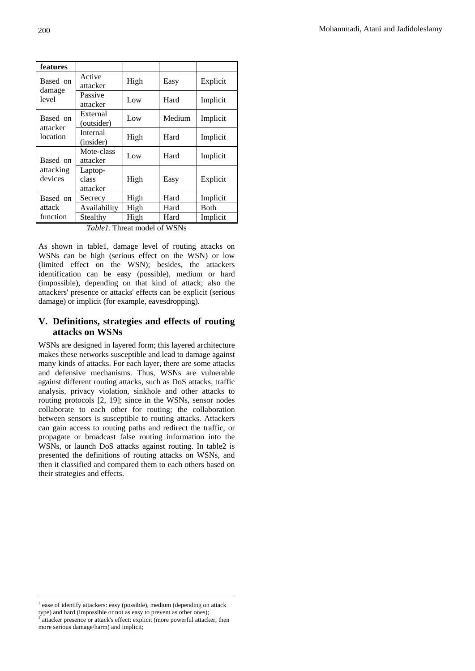| features             |                                      |      |        |          |
|----------------------|--------------------------------------|------|--------|----------|
| Based on             | Active<br>attacker                   | High | Easy   | Explicit |
| damage<br>level      | Passive<br>attacker                  | Low  | Hard   | Implicit |
| Based on             | External<br>(outsider)               | Low  | Medium |          |
| attacker<br>location | Internal<br>(insider)                | High | Hard   | Implicit |
| Based on             | Mote-class<br>attacker               | Low  | Hard   | Implicit |
| attacking<br>devices | Laptop-<br>class<br>High<br>attacker |      | Easy   | Explicit |
| Based on             | Secrecy                              | High | Hard   | Implicit |
| attack               | Availability                         | High | Hard   | Both     |
| function             | Stealthy                             | High | Hard   | Implicit |

*Table1*. Threat model of WSNs

As shown in table1, damage level of routing attacks on WSNs can be high (serious effect on the WSN) or low (limited effect on the WSN); besides, the attackers identification can be easy (possible), medium or hard (impossible), depending on that kind of attack; also the attackers' presence or attacks' effects can be explicit (serious damage) or implicit (for example, eavesdropping).

# **V. Definitions, strategies and effects of routing attacks on WSNs**

WSNs are designed in layered form; this layered architecture makes these networks susceptible and lead to damage against many kinds of attacks. For each layer, there are some attacks and defensive mechanisms. Thus, WSNs are vulnerable against different routing attacks, such as DoS attacks, traffic analysis, privacy violation, sinkhole and other attacks to routing protocols [2, 19]; since in the WSNs, sensor nodes collaborate to each other for routing; the collaboration between sensors is susceptible to routing attacks. Attackers can gain access to routing paths and redirect the traffic, or propagate or broadcast false routing information into the WSNs, or launch DoS attacks against routing. In table2 is presented the definitions of routing attacks on WSNs, and then it classified and compared them to each others based on their strategies and effects.

 $\overline{a}$ 

 $2$  ease of identify attackers: easy (possible), medium (depending on attack type) and hard (impossible or not as easy to prevent as other ones); <sup>3</sup> attacker presence or attack's effect: explicit (more powerful attacker, then more serious damage/harm) and implicit;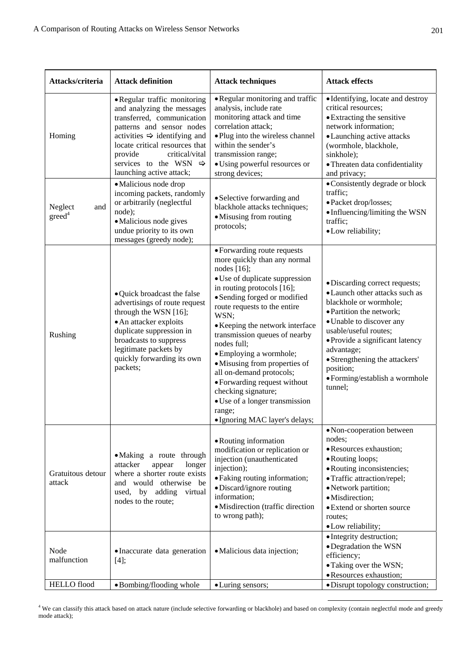| Attacks/criteria                     | <b>Attack definition</b>                                                                                                                                                                                                                                                                          | <b>Attack techniques</b>                                                                                                                                                                                                                                                                                                                                                                                                                                                                                                              | <b>Attack effects</b>                                                                                                                                                                                                                                                                                                    |
|--------------------------------------|---------------------------------------------------------------------------------------------------------------------------------------------------------------------------------------------------------------------------------------------------------------------------------------------------|---------------------------------------------------------------------------------------------------------------------------------------------------------------------------------------------------------------------------------------------------------------------------------------------------------------------------------------------------------------------------------------------------------------------------------------------------------------------------------------------------------------------------------------|--------------------------------------------------------------------------------------------------------------------------------------------------------------------------------------------------------------------------------------------------------------------------------------------------------------------------|
| Homing                               | • Regular traffic monitoring<br>and analyzing the messages<br>transferred, communication<br>patterns and sensor nodes<br>activities $\Rightarrow$ identifying and<br>locate critical resources that<br>provide<br>critical/vital<br>services to the WSN $\Rightarrow$<br>launching active attack; | • Regular monitoring and traffic<br>analysis, include rate<br>monitoring attack and time<br>correlation attack;<br>• Plug into the wireless channel<br>within the sender's<br>transmission range;<br>· Using powerful resources or<br>strong devices;                                                                                                                                                                                                                                                                                 | • Identifying, locate and destroy<br>critical resources;<br>• Extracting the sensitive<br>network information;<br>• Launching active attacks<br>(wormhole, blackhole,<br>sinkhole);<br>· Threaten data confidentiality<br>and privacy;                                                                                   |
| Neglect<br>and<br>greed <sup>4</sup> | • Malicious node drop<br>incoming packets, randomly<br>or arbitrarily (neglectful<br>node);<br>• Malicious node gives<br>undue priority to its own<br>messages (greedy node);                                                                                                                     | • Selective forwarding and<br>blackhole attacks techniques;<br>• Misusing from routing<br>protocols;                                                                                                                                                                                                                                                                                                                                                                                                                                  | • Consistently degrade or block<br>traffic;<br>· Packet drop/losses;<br>• Influencing/limiting the WSN<br>traffic;<br>· Low reliability;                                                                                                                                                                                 |
| Rushing                              | • Quick broadcast the false<br>advertisings of route request<br>through the WSN [16];<br>• An attacker exploits<br>duplicate suppression in<br>broadcasts to suppress<br>legitimate packets by<br>quickly forwarding its own<br>packets;                                                          | • Forwarding route requests<br>more quickly than any normal<br>nodes $[16]$ ;<br>· Use of duplicate suppression<br>in routing protocols [16];<br>• Sending forged or modified<br>route requests to the entire<br>WSN;<br>• Keeping the network interface<br>transmission queues of nearby<br>nodes full;<br>• Employing a wormhole;<br>• Misusing from properties of<br>all on-demand protocols;<br>• Forwarding request without<br>checking signature;<br>• Use of a longer transmission<br>range;<br>· Ignoring MAC layer's delays; | · Discarding correct requests;<br>• Launch other attacks such as<br>blackhole or wormhole;<br>· Partition the network;<br>• Unable to discover any<br>usable/useful routes;<br>· Provide a significant latency<br>advantage;<br>• Strengthening the attackers'<br>position;<br>· Forming/establish a wormhole<br>tunnel; |
| Gratuitous detour<br>attack          | • Making a route through<br>attacker<br>appear<br>longer<br>where a shorter route exists<br>and would otherwise be<br>used, by adding<br>virtual<br>nodes to the route;                                                                                                                           | • Routing information<br>modification or replication or<br>injection (unauthenticated<br>injection);<br>• Faking routing information;<br>• Discard/ignore routing<br>information;<br>· Misdirection (traffic direction<br>to wrong path);                                                                                                                                                                                                                                                                                             | • Non-cooperation between<br>nodes;<br>· Resources exhaustion;<br>• Routing loops;<br>• Routing inconsistencies;<br>• Traffic attraction/repel;<br>• Network partition;<br>· Misdirection;<br>• Extend or shorten source<br>routes:<br>· Low reliability;                                                                |
| Node<br>malfunction                  | • Inaccurate data generation<br>$[4]$ ;                                                                                                                                                                                                                                                           | · Malicious data injection;                                                                                                                                                                                                                                                                                                                                                                                                                                                                                                           | • Integrity destruction;<br>• Degradation the WSN<br>efficiency;<br>• Taking over the WSN;<br>· Resources exhaustion;                                                                                                                                                                                                    |
| <b>HELLO</b> flood                   | • Bombing/flooding whole                                                                                                                                                                                                                                                                          | • Luring sensors;                                                                                                                                                                                                                                                                                                                                                                                                                                                                                                                     | • Disrupt topology construction;                                                                                                                                                                                                                                                                                         |

 4 We can classify this attack based on attack nature (include selective forwarding or blackhole) and based on complexity (contain neglectful mode and greedy mode attack);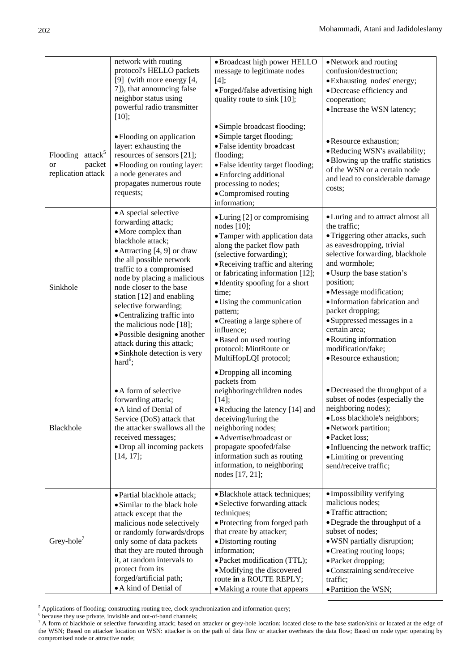|                                                                           | network with routing<br>protocol's HELLO packets<br>[9] (with more energy [4,<br>7]), that announcing false<br>neighbor status using<br>powerful radio transmitter<br>[10];                                                                                                                                                                                                                                                                                           | · Broadcast high power HELLO<br>message to legitimate nodes<br>$[4]$ ;<br>· Forged/false advertising high<br>quality route to sink [10];                                                                                                                                                                                                                                                                                           | • Network and routing<br>confusion/destruction;<br>• Exhausting nodes' energy;<br>• Decrease efficiency and<br>cooperation;<br>• Increase the WSN latency;                                                                                                                                                                                                                                                                 |
|---------------------------------------------------------------------------|-----------------------------------------------------------------------------------------------------------------------------------------------------------------------------------------------------------------------------------------------------------------------------------------------------------------------------------------------------------------------------------------------------------------------------------------------------------------------|------------------------------------------------------------------------------------------------------------------------------------------------------------------------------------------------------------------------------------------------------------------------------------------------------------------------------------------------------------------------------------------------------------------------------------|----------------------------------------------------------------------------------------------------------------------------------------------------------------------------------------------------------------------------------------------------------------------------------------------------------------------------------------------------------------------------------------------------------------------------|
| Flooding attack <sup>5</sup><br>packet<br><b>or</b><br>replication attack | • Flooding on application<br>layer: exhausting the<br>resources of sensors [21];<br>• Flooding on routing layer:<br>a node generates and<br>propagates numerous route<br>requests;                                                                                                                                                                                                                                                                                    | · Simple broadcast flooding;<br>• Simple target flooding;<br>· False identity broadcast<br>flooding;<br>• False identity target flooding;<br>• Enforcing additional<br>processing to nodes;<br>• Compromised routing<br>information;                                                                                                                                                                                               | • Resource exhaustion;<br>• Reducing WSN's availability;<br>· Blowing up the traffic statistics<br>of the WSN or a certain node<br>and lead to considerable damage<br>costs;                                                                                                                                                                                                                                               |
| Sinkhole                                                                  | • A special selective<br>forwarding attack;<br>• More complex than<br>blackhole attack;<br>• Attracting [4, 9] or draw<br>the all possible network<br>traffic to a compromised<br>node by placing a malicious<br>node closer to the base<br>station [12] and enabling<br>selective forwarding;<br>• Centralizing traffic into<br>the malicious node [18];<br>• Possible designing another<br>attack during this attack;<br>• Sinkhole detection is very<br>hard $6$ ; | • Luring [2] or compromising<br>nodes $[10]$ ;<br>• Tamper with application data<br>along the packet flow path<br>(selective forwarding);<br>• Receiving traffic and altering<br>or fabricating information [12];<br>• Identity spoofing for a short<br>time;<br>• Using the communication<br>pattern;<br>• Creating a large sphere of<br>influence;<br>• Based on used routing<br>protocol: MintRoute or<br>MultiHopLQI protocol; | • Luring and to attract almost all<br>the traffic;<br>• Triggering other attacks, such<br>as eavesdropping, trivial<br>selective forwarding, blackhole<br>and wormhole;<br>• Usurp the base station's<br>position;<br>· Message modification;<br>· Information fabrication and<br>packet dropping;<br>• Suppressed messages in a<br>certain area;<br>• Routing information<br>modification/fake;<br>• Resource exhaustion; |
| Blackhole                                                                 | • A form of selective<br>forwarding attack;<br>• A kind of Denial of<br>Service (DoS) attack that<br>the attacker swallows all the<br>received messages;<br>• Drop all incoming packets<br>$[14, 17]$ ;                                                                                                                                                                                                                                                               | • Dropping all incoming<br>packets from<br>neighboring/children nodes<br>$[14]$ ;<br>• Reducing the latency [14] and<br>deceiving/luring the<br>neighboring nodes;<br>· Advertise/broadcast or<br>propagate spoofed/false<br>information such as routing<br>information, to neighboring<br>nodes [17, 21];                                                                                                                         | • Decreased the throughput of a<br>subset of nodes (especially the<br>neighboring nodes);<br>• Loss blackhole's neighbors;<br>· Network partition;<br>· Packet loss;<br>• Influencing the network traffic;<br>• Limiting or preventing<br>send/receive traffic;                                                                                                                                                            |
| Grey-hole <sup>7</sup>                                                    | · Partial blackhole attack;<br>• Similar to the black hole<br>attack except that the<br>malicious node selectively<br>or randomly forwards/drops<br>only some of data packets<br>that they are routed through<br>it, at random intervals to<br>protect from its<br>forged/artificial path;<br>• A kind of Denial of                                                                                                                                                   | • Blackhole attack techniques;<br>• Selective forwarding attack<br>techniques;<br>· Protecting from forged path<br>that create by attacker;<br>• Distorting routing<br>information;<br>· Packet modification (TTL);<br>• Modifying the discovered<br>route in a ROUTE REPLY;<br>• Making a route that appears                                                                                                                      | • Impossibility verifying<br>malicious nodes;<br>• Traffic attraction;<br>· Degrade the throughput of a<br>subset of nodes;<br>· WSN partially disruption;<br>• Creating routing loops;<br>• Packet dropping;<br>· Constraining send/receive<br>traffic;<br>· Partition the WSN;                                                                                                                                           |

 $\frac{5}{2}$  Applications of flooding: constructing reuting tree, alook synohrenization and information system. Applications of flooding: constructing routing tree, clock synchronization and information query;  $\frac{6}{5}$  because thay use private invisible and out of band abannals;

 $^6$  because they use private, invisible and out-of-band channels;<br>7 A form of blackhole or selective forwarding attack; based on attacker or grey-hole location: located close to the base station/sink or located at the ed the WSN; Based on attacker location on WSN: attacker is on the path of data flow or attacker overhears the data flow; Based on node type: operating by compromised node or attractive node;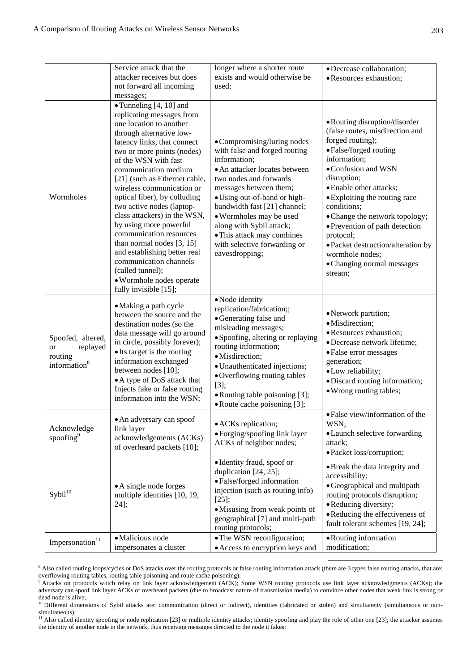|                                                                                   | Service attack that the                                                                                                                                                                                                                                                                                                                                                                                                                                                                                                                                                                                            | longer where a shorter route                                                                                                                                                                                                                                                                                                                                             |                                                                                                                                                                                                                                                                                                                                                                                                                                    |
|-----------------------------------------------------------------------------------|--------------------------------------------------------------------------------------------------------------------------------------------------------------------------------------------------------------------------------------------------------------------------------------------------------------------------------------------------------------------------------------------------------------------------------------------------------------------------------------------------------------------------------------------------------------------------------------------------------------------|--------------------------------------------------------------------------------------------------------------------------------------------------------------------------------------------------------------------------------------------------------------------------------------------------------------------------------------------------------------------------|------------------------------------------------------------------------------------------------------------------------------------------------------------------------------------------------------------------------------------------------------------------------------------------------------------------------------------------------------------------------------------------------------------------------------------|
|                                                                                   | attacker receives but does                                                                                                                                                                                                                                                                                                                                                                                                                                                                                                                                                                                         | exists and would otherwise be                                                                                                                                                                                                                                                                                                                                            | · Decrease collaboration;<br>· Resources exhaustion;                                                                                                                                                                                                                                                                                                                                                                               |
|                                                                                   | not forward all incoming                                                                                                                                                                                                                                                                                                                                                                                                                                                                                                                                                                                           | used;                                                                                                                                                                                                                                                                                                                                                                    |                                                                                                                                                                                                                                                                                                                                                                                                                                    |
|                                                                                   | messages;                                                                                                                                                                                                                                                                                                                                                                                                                                                                                                                                                                                                          |                                                                                                                                                                                                                                                                                                                                                                          |                                                                                                                                                                                                                                                                                                                                                                                                                                    |
| Wormholes                                                                         | $\bullet$ Tunneling [4, 10] and<br>replicating messages from<br>one location to another<br>through alternative low-<br>latency links, that connect<br>two or more points (nodes)<br>of the WSN with fast<br>communication medium<br>[21] (such as Ethernet cable,<br>wireless communication or<br>optical fiber), by colluding<br>two active nodes (laptop-<br>class attackers) in the WSN,<br>by using more powerful<br>communication resources<br>than normal nodes $[3, 15]$<br>and establishing better real<br>communication channels<br>(called tunnel);<br>· Wormhole nodes operate<br>fully invisible [15]; | • Compromising/luring nodes<br>with false and forged routing<br>information;<br>• An attacker locates between<br>two nodes and forwards<br>messages between them;<br>• Using out-of-band or high-<br>bandwidth fast [21] channel;<br>• Wormholes may be used<br>along with Sybil attack;<br>• This attack may combines<br>with selective forwarding or<br>eavesdropping; | • Routing disruption/disorder<br>(false routes, misdirection and<br>forged routing);<br>• False/forged routing<br>information;<br>• Confusion and WSN<br>disruption;<br>• Enable other attacks;<br>• Exploiting the routing race<br>conditions;<br>• Change the network topology;<br>• Prevention of path detection<br>protocol;<br>• Packet destruction/alteration by<br>wormhole nodes;<br>• Changing normal messages<br>stream; |
| Spoofed, altered,<br>replayed<br><b>or</b><br>routing<br>information <sup>8</sup> | • Making a path cycle<br>between the source and the<br>destination nodes (so the<br>data message will go around<br>in circle, possibly forever);<br>• Its target is the routing<br>information exchanged<br>between nodes [10];<br>• A type of DoS attack that<br>Injects fake or false routing<br>information into the WSN;                                                                                                                                                                                                                                                                                       | · Node identity<br>replication/fabrication;;<br>• Generating false and<br>misleading messages;<br>• Spoofing, altering or replaying<br>routing information;<br>·Misdirection;<br>· Unauthenticated injections;<br>• Overflowing routing tables<br>$[3]$ ;<br>• Routing table poisoning [3];<br>• Route cache poisoning [3];                                              | • Network partition;<br>·Misdirection;<br>· Resources exhaustion;<br>· Decrease network lifetime;<br>• False error messages<br>generation;<br>· Low reliability;<br>· Discard routing information;<br>• Wrong routing tables;                                                                                                                                                                                                      |
| Acknowledge<br>spoofing <sup>9</sup>                                              | • An adversary can spoof<br>link layer<br>acknowledgements (ACKs)<br>of overheard packets [10];                                                                                                                                                                                                                                                                                                                                                                                                                                                                                                                    | • ACKs replication;<br>• Forging/spoofing link layer<br>ACKs of neighbor nodes;                                                                                                                                                                                                                                                                                          | • False view/information of the<br>WSN;<br>• Launch selective forwarding<br>attack;<br>• Packet loss/corruption;                                                                                                                                                                                                                                                                                                                   |
| $S$ ybil $1^{10}$                                                                 | • A single node forges<br>multiple identities [10, 19,<br>$24$ ];                                                                                                                                                                                                                                                                                                                                                                                                                                                                                                                                                  | • Identity fraud, spoof or<br>duplication [24, 25];<br>• False/forged information<br>injection (such as routing info)<br>$[25]$ ;<br>• Misusing from weak points of<br>geographical [7] and multi-path<br>routing protocols;                                                                                                                                             | • Break the data integrity and<br>accessibility;<br>• Geographical and multipath<br>routing protocols disruption;<br>• Reducing diversity;<br>• Reducing the effectiveness of<br>fault tolerant schemes [19, 24];                                                                                                                                                                                                                  |
| Impersonation $11$                                                                | · Malicious node<br>impersonates a cluster                                                                                                                                                                                                                                                                                                                                                                                                                                                                                                                                                                         | • The WSN reconfiguration;<br>• Access to encryption keys and                                                                                                                                                                                                                                                                                                            | • Routing information<br>modification;                                                                                                                                                                                                                                                                                                                                                                                             |

<sup>&</sup>lt;sup>8</sup> Also called routing loops/cycles or DoS attacks over the routing protocols or false routing information attack (there are 3 types false routing attacks, that are: overflowing routing tables, routing table poisoning and route cache poisoning);<br><sup>9</sup> Attacks on protocols which relay on link layer acknowledgement (ACK); Some WSN routing protocols use link layer acknowledgments (ACKs); th

adversary can spoof link layer ACKs of overheard packets (due to broadcast nature of transmission media) to convince other nodes that weak link is strong or dead node is alive;

<sup>&</sup>lt;sup>10</sup> Different dimensions of Sybil attacks are: communication (direct or indirect), identities (fabricated or stolen) and simultaneity (simultaneous or nonsimultaneous);

 $11$  Also called identity spoofing or node replication [23] or multiple identity attacks; identity spoofing and play the role of other one [23]; the attacker assumes the identity of another node in the network, thus receiving messages directed to the node it fakes;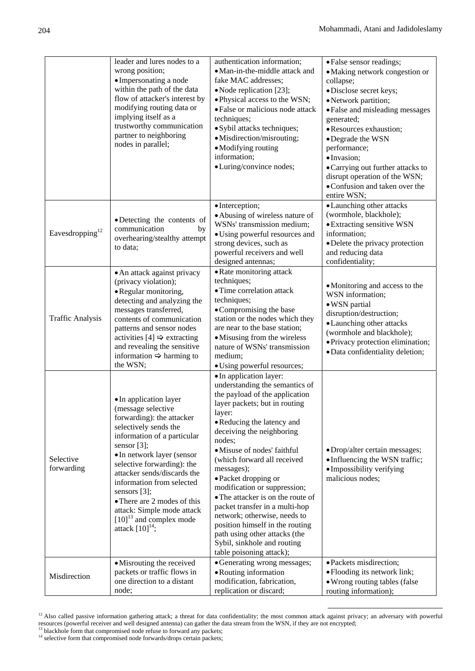|                             | leader and lures nodes to a<br>wrong position;<br>• Impersonating a node<br>within the path of the data<br>flow of attacker's interest by<br>modifying routing data or<br>implying itself as a<br>trustworthy communication<br>partner to neighboring<br>nodes in parallel;                                                                                                                                       | authentication information;<br>• Man-in-the-middle attack and<br>fake MAC addresses;<br>• Node replication [23];<br>· Physical access to the WSN;<br>· False or malicious node attack<br>techniques;<br>· Sybil attacks techniques;<br>• Misdirection/misrouting;<br>• Modifying routing<br>information;<br>• Luring/convince nodes;                                                                                                                                                                                                                                                  | • False sensor readings;<br>· Making network congestion or<br>collapse;<br>· Disclose secret keys;<br>• Network partition;<br>• False and misleading messages<br>generated;<br>· Resources exhaustion;<br>· Degrade the WSN<br>performance;<br>· Invasion;<br>• Carrying out further attacks to<br>disrupt operation of the WSN;<br>• Confusion and taken over the<br>entire WSN; |
|-----------------------------|-------------------------------------------------------------------------------------------------------------------------------------------------------------------------------------------------------------------------------------------------------------------------------------------------------------------------------------------------------------------------------------------------------------------|---------------------------------------------------------------------------------------------------------------------------------------------------------------------------------------------------------------------------------------------------------------------------------------------------------------------------------------------------------------------------------------------------------------------------------------------------------------------------------------------------------------------------------------------------------------------------------------|-----------------------------------------------------------------------------------------------------------------------------------------------------------------------------------------------------------------------------------------------------------------------------------------------------------------------------------------------------------------------------------|
| Eavesdropping <sup>12</sup> | •Detecting the contents of<br>communication<br>by<br>overhearing/stealthy attempt<br>to data;                                                                                                                                                                                                                                                                                                                     | · Interception;<br>• Abusing of wireless nature of<br>WSNs' transmission medium;<br>• Using powerful resources and<br>strong devices, such as<br>powerful receivers and well<br>designed antennas;                                                                                                                                                                                                                                                                                                                                                                                    | • Launching other attacks<br>(wormhole, blackhole);<br>• Extracting sensitive WSN<br>information;<br>• Delete the privacy protection<br>and reducing data<br>confidentiality;                                                                                                                                                                                                     |
| <b>Traffic Analysis</b>     | • An attack against privacy<br>(privacy violation);<br>• Regular monitoring,<br>detecting and analyzing the<br>messages transferred,<br>contents of communication<br>patterns and sensor nodes<br>activities [4] $\Rightarrow$ extracting<br>and revealing the sensitive<br>information $\Rightarrow$ harming to<br>the WSN;                                                                                      | • Rate monitoring attack<br>techniques;<br>• Time correlation attack<br>techniques;<br>• Compromising the base<br>station or the nodes which they<br>are near to the base station;<br>• Misusing from the wireless<br>nature of WSNs' transmission<br>medium;<br>· Using powerful resources;                                                                                                                                                                                                                                                                                          | • Monitoring and access to the<br>WSN information;<br>· WSN partial<br>disruption/destruction;<br>• Launching other attacks<br>(wormhole and blackhole);<br>· Privacy protection elimination;<br>· Data confidentiality deletion;                                                                                                                                                 |
| Selective<br>forwarding     | • In application layer<br>(message selective)<br>forwarding): the attacker<br>selectively sends the<br>information of a particular<br>sensor $[3]$ ;<br>• In network layer (sensor<br>selective forwarding): the<br>attacker sends/discards the<br>information from selected<br>sensors [3];<br>• There are 2 modes of this<br>attack: Simple mode attack<br>$[10]^{13}$ and complex mode<br>attack $[10]^{14}$ ; | • In application layer:<br>understanding the semantics of<br>the payload of the application<br>layer packets; but in routing<br>layer:<br>• Reducing the latency and<br>deceiving the neighboring<br>nodes;<br>• Misuse of nodes' faithful<br>(which forward all received<br>messages);<br>• Packet dropping or<br>modification or suppression;<br>• The attacker is on the route of<br>packet transfer in a multi-hop<br>network; otherwise, needs to<br>position himself in the routing<br>path using other attacks (the<br>Sybil, sinkhole and routing<br>table poisoning attack); | · Drop/alter certain messages;<br>• Influencing the WSN traffic;<br>· Impossibility verifying<br>malicious nodes;                                                                                                                                                                                                                                                                 |
| Misdirection                | · Misrouting the received<br>packets or traffic flows in<br>one direction to a distant<br>node;                                                                                                                                                                                                                                                                                                                   | • Generating wrong messages;<br>• Routing information<br>modification, fabrication,<br>replication or discard;                                                                                                                                                                                                                                                                                                                                                                                                                                                                        | · Packets misdirection;<br>· Flooding its network link;<br>• Wrong routing tables (false<br>routing information);                                                                                                                                                                                                                                                                 |

<sup>&</sup>lt;sup>12</sup> Also called passive information gathering attack; a threat for data confidentiality; the most common attack against privacy; an adversary with powerful resources (powerful receiver and well designed antenna) can gather the data stream from the WSN, if they are not encrypted; <sup>13</sup> blackhole form that compromised node refuse to forward any packets;

<sup>&</sup>lt;sup>14</sup> selective form that compromised node forwards/drops certain packets;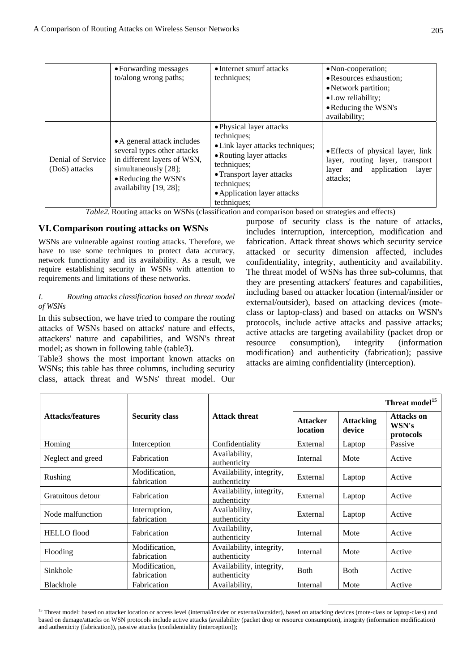|                                    | • Forwarding messages<br>to/along wrong paths;                                                                                                                      | • Internet smurf attacks<br>techniques;                                                                                                                                                                         | • Non-cooperation;<br>• Resources exhaustion;<br>• Network partition;<br>• Low reliability;<br>• Reducing the WSN's<br>availability; |
|------------------------------------|---------------------------------------------------------------------------------------------------------------------------------------------------------------------|-----------------------------------------------------------------------------------------------------------------------------------------------------------------------------------------------------------------|--------------------------------------------------------------------------------------------------------------------------------------|
| Denial of Service<br>(DoS) attacks | • A general attack includes<br>several types other attacks<br>in different layers of WSN,<br>simultaneously [28];<br>• Reducing the WSN's<br>availability [19, 28]; | • Physical layer attacks<br>techniques;<br>• Link layer attacks techniques;<br>• Routing layer attacks<br>techniques;<br>• Transport layer attacks<br>techniques;<br>• Application layer attacks<br>techniques; | • Effects of physical layer, link<br>layer, routing layer, transport<br>and application layer<br>layer<br>attacks:                   |

*Table2.* Routing attacks on WSNs (classification and comparison based on strategies and effects)

# **VI.Comparison routing attacks on WSNs**

WSNs are vulnerable against routing attacks. Therefore, we have to use some techniques to protect data accuracy, network functionality and its availability. As a result, we require establishing security in WSNs with attention to requirements and limitations of these networks.

## *I. Routing attacks classification based on threat model of WSNs*

In this subsection, we have tried to compare the routing attacks of WSNs based on attacks' nature and effects, attackers' nature and capabilities, and WSN's threat model; as shown in following table (table3).

Table3 shows the most important known attacks on WSNs; this table has three columns, including security class, attack threat and WSNs' threat model. Our purpose of security class is the nature of attacks, includes interruption, interception, modification and fabrication. Attack threat shows which security service attacked or security dimension affected, includes confidentiality, integrity, authenticity and availability. The threat model of WSNs has three sub-columns, that they are presenting attackers' features and capabilities, including based on attacker location (internal/insider or external/outsider), based on attacking devices (moteclass or laptop-class) and based on attacks on WSN's protocols, include active attacks and passive attacks; active attacks are targeting availability (packet drop or resource consumption), integrity (information modification) and authenticity (fabrication); passive attacks are aiming confidentiality (interception).

|                         |                              |                                          | Threat model <sup>15</sup>  |                            |                                  |
|-------------------------|------------------------------|------------------------------------------|-----------------------------|----------------------------|----------------------------------|
| <b>Attacks/features</b> | <b>Security class</b>        | <b>Attack threat</b>                     | <b>Attacker</b><br>location | <b>Attacking</b><br>device | Attacks on<br>WSN's<br>protocols |
| Homing                  | Interception                 | Confidentiality                          | External                    | Laptop                     | Passive                          |
| Neglect and greed       | Fabrication                  | Availability,<br>authenticity            | Internal                    | Mote                       | Active                           |
| Rushing                 | Modification.<br>fabrication | Availability, integrity,<br>authenticity | External                    | Laptop                     | Active                           |
| Gratuitous detour       | Fabrication                  | Availability, integrity,<br>authenticity | External                    | Laptop                     | Active                           |
| Node malfunction        | Interruption,<br>fabrication | Availability,<br>authenticity            | External                    | Laptop                     | Active                           |
| <b>HELLO</b> flood      | Fabrication                  | Availability,<br>authenticity            | Internal                    | Mote                       | Active                           |
| Flooding                | Modification.<br>fabrication | Availability, integrity,<br>authenticity | Internal                    | Mote                       | Active                           |
| Sinkhole                | Modification,<br>fabrication | Availability, integrity,<br>authenticity | <b>B</b> oth                | <b>B</b> oth               | Active                           |
| Blackhole               | Fabrication                  | Availability,                            | Internal                    | Mote                       | Active                           |

<sup>&</sup>lt;sup>15</sup> Threat model: based on attacker location or access level (internal/insider or external/outsider), based on attacking devices (mote-class or laptop-class) and based on damage/attacks on WSN protocols include active attacks (availability (packet drop or resource consumption), integrity (information modification) and authenticity (fabrication)), passive attacks (confidentiality (interception));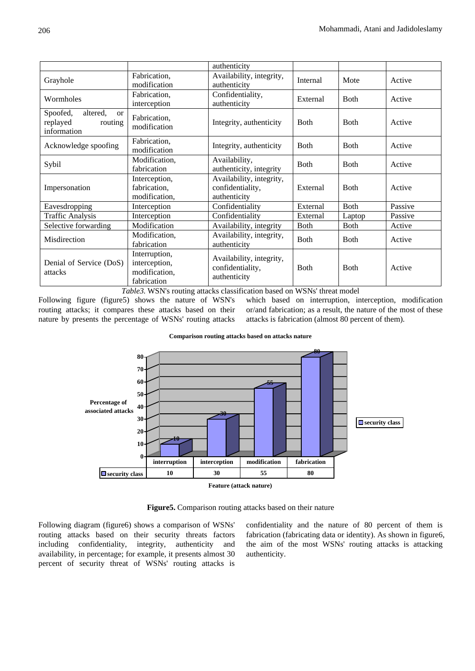|                                                                             |                                                                | authenticity                                                 |              |              |         |
|-----------------------------------------------------------------------------|----------------------------------------------------------------|--------------------------------------------------------------|--------------|--------------|---------|
| Grayhole                                                                    | Fabrication,<br>modification                                   | Availability, integrity,<br>authenticity                     | Internal     | Mote         | Active  |
| Wormholes                                                                   | Fabrication,<br>interception                                   | Confidentiality,<br>authenticity                             | External     | <b>B</b> oth | Active  |
| Spoofed,<br>altered.<br><sub>or</sub><br>replayed<br>routing<br>information | Fabrication,<br>modification                                   | Integrity, authenticity                                      | <b>B</b> oth | <b>B</b> oth | Active  |
| Acknowledge spoofing                                                        | Fabrication,<br>modification                                   | Integrity, authenticity                                      | <b>Both</b>  | <b>Both</b>  | Active  |
| Sybil                                                                       | Modification,<br>fabrication                                   | Availability,<br>authenticity, integrity                     | <b>B</b> oth | <b>B</b> oth | Active  |
| Impersonation                                                               | Interception,<br>fabrication,<br>modification,                 | Availability, integrity,<br>confidentiality,<br>authenticity | External     | <b>B</b> oth | Active  |
| Eavesdropping                                                               | Interception                                                   | Confidentiality                                              | External     | Both         | Passive |
| <b>Traffic Analysis</b>                                                     | Interception                                                   | Confidentiality                                              | External     | Laptop       | Passive |
| Selective forwarding                                                        | Modification                                                   | Availability, integrity                                      | <b>Both</b>  | <b>Both</b>  | Active  |
| Misdirection                                                                | Modification.<br>fabrication                                   | Availability, integrity,<br>authenticity                     | Both         | <b>B</b> oth | Active  |
| Denial of Service (DoS)<br>attacks                                          | Interruption,<br>interception,<br>modification,<br>fabrication | Availability, integrity,<br>confidentiality,<br>authenticity | <b>Both</b>  | <b>B</b> oth | Active  |

*Table3.* WSN's routing attacks classification based on WSNs' threat model

Following figure (figure5) shows the nature of WSN's routing attacks; it compares these attacks based on their nature by presents the percentage of WSNs' routing attacks

which based on interruption, interception, modification or/and fabrication; as a result, the nature of the most of these attacks is fabrication (almost 80 percent of them).





**Figure5.** Comparison routing attacks based on their nature

Following diagram (figure6) shows a comparison of WSNs' routing attacks based on their security threats factors including confidentiality, integrity, authenticity and availability, in percentage; for example, it presents almost 30 percent of security threat of WSNs' routing attacks is confidentiality and the nature of 80 percent of them is fabrication (fabricating data or identity). As shown in figure6, the aim of the most WSNs' routing attacks is attacking authenticity.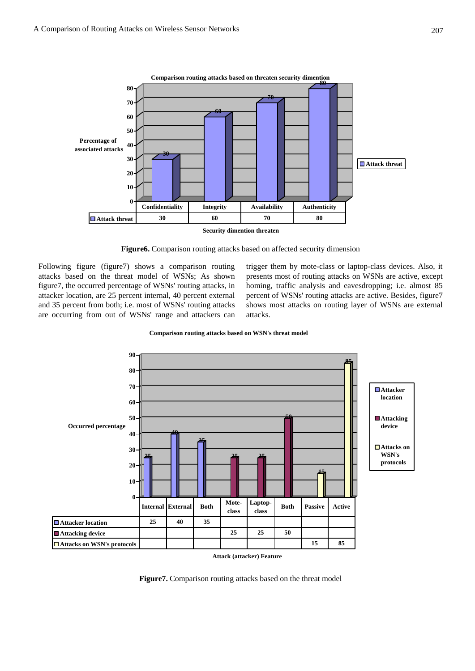

**Security dimention threaten**

**Figure6.** Comparison routing attacks based on affected security dimension

Following figure (figure7) shows a comparison routing attacks based on the threat model of WSNs; As shown figure7, the occurred percentage of WSNs' routing attacks, in attacker location, are 25 percent internal, 40 percent external and 35 percent from both; i.e. most of WSNs' routing attacks are occurring from out of WSNs' range and attackers can

trigger them by mote-class or laptop-class devices. Also, it presents most of routing attacks on WSNs are active, except homing, traffic analysis and eavesdropping; i.e. almost 85 percent of WSNs' routing attacks are active. Besides, figure7 shows most attacks on routing layer of WSNs are external attacks.

**Comparison routing attacks based on WSN's threat model**



**Figure7.** Comparison routing attacks based on the threat model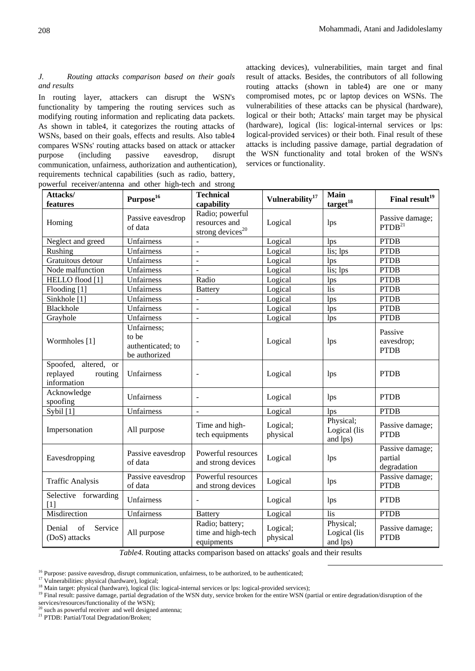#### *J. Routing attacks comparison based on their goals and results*

In routing layer, attackers can disrupt the WSN's functionality by tampering the routing services such as modifying routing information and replicating data packets. As shown in table4, it categorizes the routing attacks of WSNs, based on their goals, effects and results. Also table4 compares WSNs' routing attacks based on attack or attacker purpose (including passive eavesdrop, disrupt communication, unfairness, authorization and authentication), requirements technical capabilities (such as radio, battery, powerful receiver/antenna and other high-tech and strong

attacking devices), vulnerabilities, main target and final result of attacks. Besides, the contributors of all following routing attacks (shown in table4) are one or many compromised motes, pc or laptop devices on WSNs. The vulnerabilities of these attacks can be physical (hardware), logical or their both; Attacks' main target may be physical (hardware), logical (lis: logical-internal services or lps: logical-provided services) or their both. Final result of these attacks is including passive damage, partial degradation of the WSN functionality and total broken of the WSN's services or functionality.

| oowerful receiver/antenna and other high-tech and strong             |                                                            |                                                                  |                          |                                       |                                           |
|----------------------------------------------------------------------|------------------------------------------------------------|------------------------------------------------------------------|--------------------------|---------------------------------------|-------------------------------------------|
| Attacks/                                                             | Purpose <sup>16</sup>                                      | <b>Technical</b>                                                 | $\bf Vulnerability^{17}$ | <b>Main</b>                           | Final result <sup>19</sup>                |
| features                                                             |                                                            | capability                                                       |                          | $\text{target}^{18}$                  |                                           |
| Homing                                                               | Passive eavesdrop<br>of data                               | Radio; powerful<br>resources and<br>strong devices <sup>20</sup> | Logical                  | lps                                   | Passive damage;<br>PTDB <sup>21</sup>     |
| Neglect and greed                                                    | Unfairness                                                 | $\overline{a}$                                                   | Logical                  | lps                                   | <b>PTDB</b>                               |
| Rushing                                                              | Unfairness                                                 | $\overline{a}$                                                   | Logical                  | lis; lps                              | <b>PTDB</b>                               |
| Gratuitous detour                                                    | Unfairness                                                 | $\overline{a}$                                                   | Logical                  | lps                                   | <b>PTDB</b>                               |
| Node malfunction                                                     | Unfairness                                                 | L,                                                               | Logical                  | lis; lps                              | <b>PTDB</b>                               |
| HELLO flood [1]                                                      | Unfairness                                                 | Radio                                                            | Logical                  | lps                                   | <b>PTDB</b>                               |
| Flooding [1]                                                         | Unfairness                                                 | <b>Battery</b>                                                   | Logical                  | lis                                   | <b>PTDB</b>                               |
| Sinkhole [1]                                                         | Unfairness                                                 |                                                                  | Logical                  | lps                                   | <b>PTDB</b>                               |
| Blackhole                                                            | Unfairness                                                 | $\overline{a}$                                                   | Logical                  | lps                                   | <b>PTDB</b>                               |
| Grayhole                                                             | Unfairness                                                 | $\overline{a}$                                                   | Logical                  | lps                                   | <b>PTDB</b>                               |
| Wormholes [1]                                                        | Unfairness;<br>to be<br>authenticated; to<br>be authorized |                                                                  | Logical                  | lps                                   | Passive<br>eavesdrop;<br><b>PTDB</b>      |
| Spoofed, altered,<br><b>or</b><br>replayed<br>routing<br>information | Unfairness                                                 | $\overline{a}$                                                   | Logical                  | lps                                   | <b>PTDB</b>                               |
| Acknowledge<br>spoofing                                              | Unfairness                                                 | $\overline{a}$                                                   | Logical                  | lps                                   | <b>PTDB</b>                               |
| Sybil $\overline{[1]}$                                               | Unfairness                                                 |                                                                  | Logical                  | lps                                   | <b>PTDB</b>                               |
| Impersonation                                                        | All purpose                                                | Time and high-<br>tech equipments                                | Logical;<br>physical     | Physical;<br>Logical (lis<br>and lps) | Passive damage;<br><b>PTDB</b>            |
| Eavesdropping                                                        | Passive eavesdrop<br>of data                               | Powerful resources<br>and strong devices                         | Logical                  | lps                                   | Passive damage;<br>partial<br>degradation |
| <b>Traffic Analysis</b>                                              | Passive eavesdrop<br>of data                               | Powerful resources<br>and strong devices                         | Logical                  | lps                                   | Passive damage;<br><b>PTDB</b>            |
| Selective forwarding<br>[1]                                          | Unfairness                                                 |                                                                  | Logical                  | lps                                   | <b>PTDB</b>                               |
| Misdirection                                                         | Unfairness                                                 | <b>Battery</b>                                                   | Logical                  | lis                                   | <b>PTDB</b>                               |
| Denial<br>of<br>Service<br>(DoS) attacks                             | All purpose                                                | Radio; battery;<br>time and high-tech<br>equipments              | Logical;<br>physical     | Physical;<br>Logical (lis<br>and lps) | Passive damage;<br><b>PTDB</b>            |

*Table4.* Routing attacks comparison based on attacks' goals and their results

<sup>19</sup> Final result: passive damage, partial degradation of the WSN duty, service broken for the entire WSN (partial or entire degradation/disruption of the

services/resources/functionality of the WSN);

<sup>21</sup> PTDB: Partial/Total Degradation/Broken;

<sup>&</sup>lt;sup>16</sup> Purpose: passive eavesdrop, disrupt communication, unfairness, to be authorized, to be authenticated; <sup>17</sup> Vulnerabilities: physical (hardware), logical; 18 Main target: physical (hardware), logical (lis: logical-int

 $<sup>0</sup>$  such as powerful receiver and well designed antenna;</sup>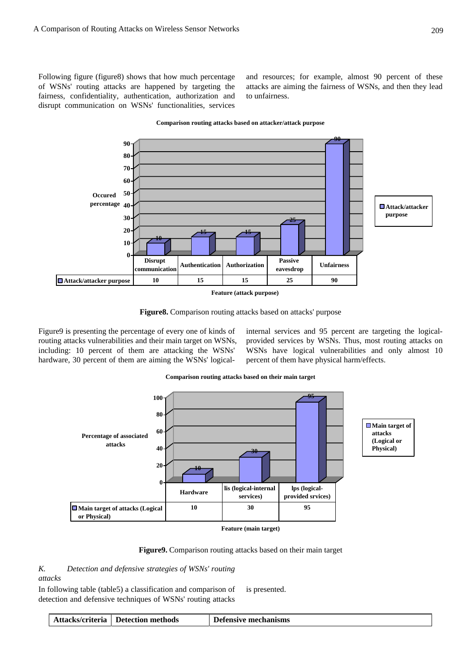Following figure (figure8) shows that how much percentage of WSNs' routing attacks are happened by targeting the fairness, confidentiality, authentication, authorization and disrupt communication on WSNs' functionalities, services

and resources; for example, almost 90 percent of these attacks are aiming the fairness of WSNs, and then they lead to unfairness.



#### **Comparison routing attacks based on attacker/attack purpose**



Figure9 is presenting the percentage of every one of kinds of routing attacks vulnerabilities and their main target on WSNs, including: 10 percent of them are attacking the WSNs' hardware, 30 percent of them are aiming the WSNs' logicalinternal services and 95 percent are targeting the logicalprovided services by WSNs. Thus, most routing attacks on WSNs have logical vulnerabilities and only almost 10 percent of them have physical harm/effects.

**Comparison routing attacks based on their main target**





*K. Detection and defensive strategies of WSNs' routing attacks* 

In following table (table5) a classification and comparison of detection and defensive techniques of WSNs' routing attacks is presented.

|  | Attacks/criteria   Detection methods | Defensive mechanisms |
|--|--------------------------------------|----------------------|
|--|--------------------------------------|----------------------|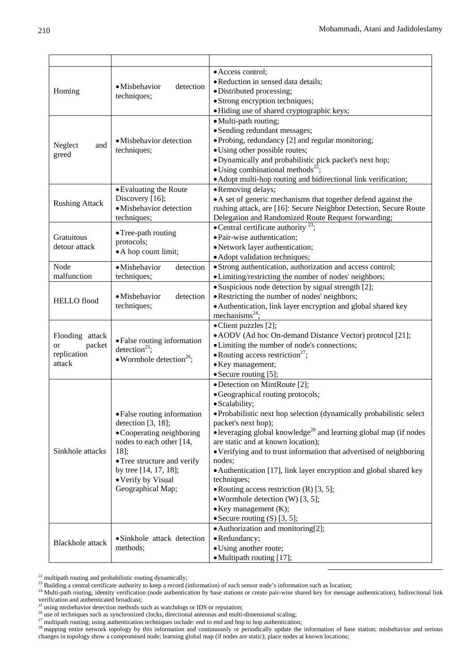|                         |                                           | • Access control;                                                                     |
|-------------------------|-------------------------------------------|---------------------------------------------------------------------------------------|
|                         | · Misbehavior<br>detection                | · Reduction in sensed data details;                                                   |
| Homing                  | techniques;                               | · Distributed processing;                                                             |
|                         |                                           | · Strong encryption techniques;                                                       |
|                         |                                           | · Hiding use of shared cryptographic keys;                                            |
|                         |                                           | · Multi-path routing;                                                                 |
|                         |                                           | • Sending redundant messages;                                                         |
|                         | • Misbehavior detection                   | • Probing, redundancy [2] and regular monitoring;                                     |
| Neglect<br>and          | techniques;                               | • Using other possible routes;                                                        |
| greed                   |                                           | • Dynamically and probabilistic pick packet's next hop;                               |
|                         |                                           | • Using combinational methods <sup>22</sup> ;                                         |
|                         |                                           | • Adopt multi-hop routing and bidirectional link verification;                        |
|                         | • Evaluating the Route                    | • Removing delays;                                                                    |
|                         | Discovery [16];                           | • A set of generic mechanisms that together defend against the                        |
| <b>Rushing Attack</b>   | · Misbehavior detection                   | rushing attack, are [16]: Secure Neighbor Detection, Secure Route                     |
|                         | techniques;                               | Delegation and Randomized Route Request forwarding;                                   |
|                         |                                           | • Central certificate authority $^{23}$ ;                                             |
| Gratuitous              | • Tree-path routing                       | · Pair-wise authentication;                                                           |
| detour attack           | protocols;                                | • Network layer authentication;                                                       |
|                         | • A hop count limit;                      |                                                                                       |
|                         |                                           | • Adopt validation techniques;                                                        |
| Node<br>malfunction     | · Misbehavior<br>detection                | • Strong authentication, authorization and access control;                            |
|                         | techniques;                               | • Limiting/restricting the number of nodes' neighbors;                                |
|                         | • Misbehavior<br>detection<br>techniques; | • Suspicious node detection by signal strength [2];                                   |
| <b>HELLO</b> flood      |                                           | • Restricting the number of nodes' neighbors;                                         |
|                         |                                           | • Authentication, link layer encryption and global shared key                         |
|                         |                                           | mechanisms $^{24}$ ;                                                                  |
|                         |                                           | • Client puzzles [2];                                                                 |
| Flooding attack         | · False routing information               | • AODV (Ad hoc On-demand Distance Vector) protocol [21];                              |
| packet<br>or            | detection <sup>25</sup> ;                 | • Limiting the number of node's connections;                                          |
| replication             | • Wormhole detection <sup>26</sup> ;      | • Routing access restriction <sup>27</sup> ;                                          |
| attack                  |                                           | • Key management;                                                                     |
|                         |                                           | • Secure routing [5];                                                                 |
|                         |                                           | • Detection on MintRoute [2];                                                         |
|                         |                                           | · Geographical routing protocols;                                                     |
|                         |                                           | · Scalability;                                                                        |
|                         | • False routing information               | • Probabilistic next hop selection (dynamically probabilistic select)                 |
|                         | detection $[3, 18]$ ;                     | packet's next hop);                                                                   |
|                         | • Cooperating neighboring                 | $\bullet$ leveraging global knowledge <sup>28</sup> and learning global map (if nodes |
|                         | nodes to each other [14,                  | are static and at known location);                                                    |
| Sinkhole attacks        | $18$ ];                                   | • Verifying and to trust information that advertised of neighboring                   |
|                         | • Tree structure and verify               | nodes;                                                                                |
|                         | by tree [14, 17, 18];                     | • Authentication [17], link layer encryption and global shared key                    |
|                         | • Verify by Visual                        | techniques;                                                                           |
|                         | Geographical Map;                         | • Routing access restriction $(R)$ [3, 5];                                            |
|                         |                                           | • Wormhole detection (W) $[3, 5]$ ;                                                   |
|                         |                                           | $\bullet$ Key management (K);                                                         |
|                         |                                           | • Secure routing $(S)$ [3, 5];                                                        |
|                         |                                           | • Authorization and monitoring[2];                                                    |
|                         |                                           | · Redundancy;                                                                         |
| <b>Blackhole</b> attack | • Sinkhole attack detection<br>methods;   |                                                                                       |
|                         |                                           | • Using another route;                                                                |
|                         |                                           | • Multipath routing [17];                                                             |

<sup>&</sup>lt;sup>22</sup> multipath routing and probabilistic routing dynamically;<br><sup>23</sup> Building a central certificate authority to keep a record (information) of each sensor node's information such as location;<br><sup>24</sup> Multi-path routing, ident verification and authenticated broadcast;<br> $\frac{25}{3}$  using misbehavior detection methods such as watchdogs or IDS or reputation;

<sup>&</sup>lt;sup>26</sup> using misoenavior detection methods such as watchdogs of 1D3 of reputation,<br><sup>26</sup> use of techniques such as synchronized clocks, directional antennas and multi-dimensional scaling;<br><sup>27</sup> multipath routing; using authent changes in topology show a compromised node; learning global map (if nodes are static); place nodes at known locations;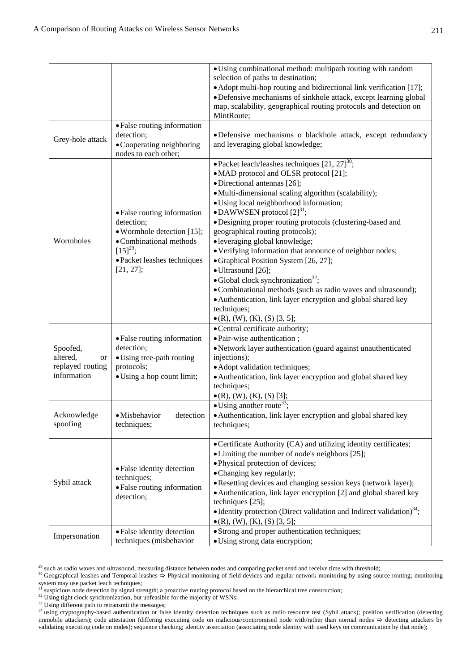|                                                               |                                                                                                                                                                    | · Using combinational method: multipath routing with random<br>selection of paths to destination;<br>• Adopt multi-hop routing and bidirectional link verification [17];<br>• Defensive mechanisms of sinkhole attack, except learning global<br>map, scalability, geographical routing protocols and detection on<br>MintRoute;                                                                                                                                                                                                                                                                                                                                                                                                                                              |  |  |
|---------------------------------------------------------------|--------------------------------------------------------------------------------------------------------------------------------------------------------------------|-------------------------------------------------------------------------------------------------------------------------------------------------------------------------------------------------------------------------------------------------------------------------------------------------------------------------------------------------------------------------------------------------------------------------------------------------------------------------------------------------------------------------------------------------------------------------------------------------------------------------------------------------------------------------------------------------------------------------------------------------------------------------------|--|--|
| Grey-hole attack                                              | • False routing information<br>detection;<br>• Cooperating neighboring<br>nodes to each other;                                                                     | ·Defensive mechanisms o blackhole attack, except redundancy<br>and leveraging global knowledge;                                                                                                                                                                                                                                                                                                                                                                                                                                                                                                                                                                                                                                                                               |  |  |
| Wormholes                                                     | • False routing information<br>detection;<br>• Wormhole detection [15];<br>• Combinational methods<br>$[15]^{29}$ ;<br>• Packet leashes techniques<br>$[21, 27]$ ; | • Packet leach/leashes techniques $[21, 27]^{30}$ ;<br>• MAD protocol and OLSR protocol [21];<br>• Directional antennas [26];<br>• Multi-dimensional scaling algorithm (scalability);<br>· Using local neighborhood information;<br>• DAWWSEN protocol $[2]^{31}$ ;<br>· Designing proper routing protocols (clustering-based and<br>geographical routing protocols);<br>• leveraging global knowledge;<br>• Verifying information that announce of neighbor nodes;<br>• Graphical Position System [26, 27];<br>· Ultrasound [26];<br>• Global clock synchronization <sup>32</sup> ;<br>· Combinational methods (such as radio waves and ultrasound);<br>• Authentication, link layer encryption and global shared key<br>techniques;<br>$\bullet$ (R), (W), (K), (S) [3, 5]; |  |  |
| Spoofed,<br>altered,<br>or<br>replayed routing<br>information | • False routing information<br>detection;<br>• Using tree-path routing<br>protocols;<br>• Using a hop count limit;                                                 | • Central certificate authority;<br>· Pair-wise authentication;<br>• Network layer authentication (guard against unauthenticated<br>injections);<br>• Adopt validation techniques;<br>· Authentication, link layer encryption and global shared key<br>techniques;<br>$\bullet$ (R), (W), (K), (S) [3];                                                                                                                                                                                                                                                                                                                                                                                                                                                                       |  |  |
| Acknowledge<br>spoofing                                       | ·Misbehavior<br>detection<br>techniques;                                                                                                                           | $\bullet$ Using another route <sup>33</sup> ;<br>• Authentication, link layer encryption and global shared key<br>techniques;                                                                                                                                                                                                                                                                                                                                                                                                                                                                                                                                                                                                                                                 |  |  |
| Sybil attack                                                  | • False identity detection<br>techniques;<br>• False routing information<br>detection;                                                                             | • Certificate Authority (CA) and utilizing identity certificates;<br>• Limiting the number of node's neighbors [25];<br>· Physical protection of devices;<br>• Changing key regularly;<br>• Resetting devices and changing session keys (network layer);<br>• Authentication, link layer encryption [2] and global shared key<br>techniques [25];<br>• Identity protection (Direct validation and Indirect validation) <sup>34</sup> ;<br>$\bullet$ (R), (W), (K), (S) [3, 5];                                                                                                                                                                                                                                                                                                |  |  |
| Impersonation                                                 | • Strong and proper authentication techniques;<br>• False identity detection<br>techniques (misbehavior<br>• Using strong data encryption;                         |                                                                                                                                                                                                                                                                                                                                                                                                                                                                                                                                                                                                                                                                                                                                                                               |  |  |

<sup>29</sup> such as radio waves and ultrasound, measuring distance between nodes and comparing packet send and receive time with threshold;<br><sup>30</sup> Geographical leashes and Temporal leashes  $\Rightarrow$  Physical monitoring of field devices system may use packet leach techniques;<br><sup>31</sup> suspicious node detection by signal strength; a proactive routing protocol based on the hierarchical tree construction;

<sup>32</sup> Using tight clock synchronization, but unfeasible for the majority of WSNs;<br><sup>32</sup> Using tight clock synchronization, but unfeasible for the majority of WSNs;<br><sup>33</sup> Using different path to retransmit the messages;

<sup>34</sup> using cryptography-based authentication or false identity detection techniques such as radio resource test (Sybil attack); position verification (detecting immobile attackers); code attestation (differing executing code on malicious/compromised node with/rather than normal nodes  $\Rightarrow$  detecting attackers by validating executing code on nodes); sequence checking; identity association (associating node identity with used keys on communication by that node);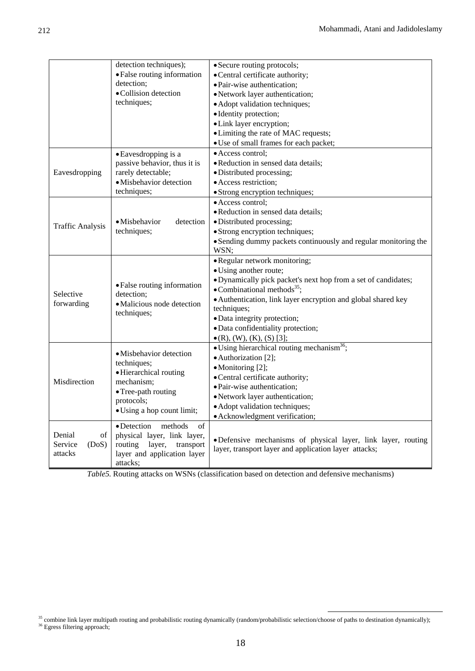|                                             | detection techniques);<br>• False routing information<br>detection;<br>· Collision detection<br>techniques;                                       | • Secure routing protocols;<br>• Central certificate authority;<br>· Pair-wise authentication;<br>• Network layer authentication;<br>• Adopt validation techniques;<br>· Identity protection;<br>· Link layer encryption;<br>• Limiting the rate of MAC requests;<br>• Use of small frames for each packet;                                                             |  |
|---------------------------------------------|---------------------------------------------------------------------------------------------------------------------------------------------------|-------------------------------------------------------------------------------------------------------------------------------------------------------------------------------------------------------------------------------------------------------------------------------------------------------------------------------------------------------------------------|--|
| Eavesdropping                               | • Eavesdropping is a<br>passive behavior, thus it is<br>rarely detectable;<br>· Misbehavior detection<br>techniques;                              | · Access control;<br>· Reduction in sensed data details;<br>· Distributed processing;<br>· Access restriction;<br>· Strong encryption techniques;                                                                                                                                                                                                                       |  |
| <b>Traffic Analysis</b>                     | • Misbehavior<br>detection<br>techniques;                                                                                                         | • Access control;<br>· Reduction in sensed data details;<br>· Distributed processing;<br>• Strong encryption techniques;<br>• Sending dummy packets continuously and regular monitoring the<br>WSN;                                                                                                                                                                     |  |
| Selective<br>forwarding                     | • False routing information<br>detection;<br>· Malicious node detection<br>techniques;                                                            | • Regular network monitoring;<br>• Using another route;<br>· Dynamically pick packet's next hop from a set of candidates;<br>$\bullet$ Combinational methods <sup>35</sup> ;<br>· Authentication, link layer encryption and global shared key<br>techniques;<br>· Data integrity protection;<br>· Data confidentiality protection;<br>$\bullet$ (R), (W), (K), (S) [3]; |  |
| Misdirection                                | · Misbehavior detection<br>techniques;<br>· Hierarchical routing<br>mechanism;<br>• Tree-path routing<br>protocols;<br>• Using a hop count limit; | • Using hierarchical routing mechanism <sup>36</sup> ;<br>• Authorization [2];<br>• Monitoring [2];<br>• Central certificate authority;<br>• Pair-wise authentication;<br>• Network layer authentication;<br>• Adopt validation techniques;<br>• Acknowledgment verification;                                                                                           |  |
| Denial<br>of<br>(DoS)<br>Service<br>attacks | • Detection<br>methods<br>of<br>physical layer, link layer,<br>routing<br>layer,<br>transport<br>layer and application layer<br>attacks;          | ·Defensive mechanisms of physical layer, link layer, routing<br>layer, transport layer and application layer attacks;                                                                                                                                                                                                                                                   |  |

*Table5.* Routing attacks on WSNs (classification based on detection and defensive mechanisms)

 $35$  combine link layer multipath routing and probabilistic routing dynamically (random/probabilistic selection/choose of paths to destination dynamically);  $36$  Egress filtering approach;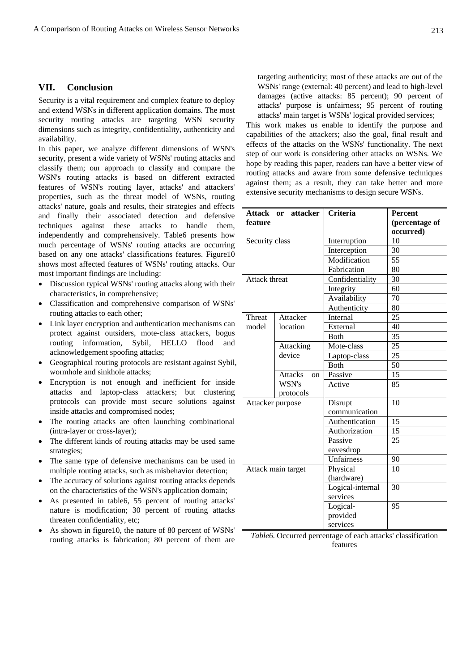## **VII. Conclusion**

Security is a vital requirement and complex feature to deploy and extend WSNs in different application domains. The most security routing attacks are targeting WSN security dimensions such as integrity, confidentiality, authenticity and availability.

In this paper, we analyze different dimensions of WSN's security, present a wide variety of WSNs' routing attacks and classify them; our approach to classify and compare the WSN's routing attacks is based on different extracted features of WSN's routing layer, attacks' and attackers' properties, such as the threat model of WSNs, routing attacks' nature, goals and results, their strategies and effects and finally their associated detection and defensive techniques against these attacks to handle them, independently and comprehensively. Table6 presents how much percentage of WSNs' routing attacks are occurring based on any one attacks' classifications features. Figure10 shows most affected features of WSNs' routing attacks. Our most important findings are including:

- Discussion typical WSNs' routing attacks along with their characteristics, in comprehensive;
- Classification and comprehensive comparison of WSNs' routing attacks to each other;
- Link layer encryption and authentication mechanisms can protect against outsiders, mote-class attackers, bogus routing information, Sybil, HELLO flood and acknowledgement spoofing attacks;
- Geographical routing protocols are resistant against Sybil, wormhole and sinkhole attacks;
- Encryption is not enough and inefficient for inside attacks and laptop-class attackers; but clustering protocols can provide most secure solutions against inside attacks and compromised nodes;
- The routing attacks are often launching combinational (intra-layer or cross-layer);
- The different kinds of routing attacks may be used same strategies;
- The same type of defensive mechanisms can be used in multiple routing attacks, such as misbehavior detection;
- The accuracy of solutions against routing attacks depends on the characteristics of the WSN's application domain;
- As presented in table6, 55 percent of routing attacks' nature is modification; 30 percent of routing attacks threaten confidentiality, etc;
- As shown in figure10, the nature of 80 percent of WSNs' routing attacks is fabrication; 80 percent of them are

targeting authenticity; most of these attacks are out of the WSNs' range (external: 40 percent) and lead to high-level damages (active attacks: 85 percent); 90 percent of attacks' purpose is unfairness; 95 percent of routing attacks' main target is WSNs' logical provided services;

This work makes us enable to identify the purpose and capabilities of the attackers; also the goal, final result and effects of the attacks on the WSNs' functionality. The next step of our work is considering other attacks on WSNs. We hope by reading this paper, readers can have a better view of routing attacks and aware from some defensive techniques against them; as a result, they can take better and more extensive security mechanisms to design secure WSNs.

|                  | Attack or attacker              | Criteria          | <b>Percent</b> |
|------------------|---------------------------------|-------------------|----------------|
| feature          |                                 |                   | (percentage of |
|                  |                                 |                   | occurred)      |
| Security class   |                                 | Interruption      | 10             |
|                  |                                 | Interception      | 30             |
|                  |                                 | Modification      | 55             |
|                  |                                 | Fabrication       | 80             |
| Attack threat    |                                 | Confidentiality   | 30             |
|                  |                                 | Integrity         | 60             |
|                  |                                 | Availability      | 70             |
|                  |                                 | Authenticity      | 80             |
| Threat           | Attacker                        | Internal          | 25             |
| model            | location                        | External          | 40             |
|                  |                                 | Both              | 35             |
|                  | Attacking<br>device             | Mote-class        | 25             |
|                  |                                 | Laptop-class      | 25             |
|                  |                                 | <b>Both</b>       | 50             |
|                  | <b>Attacks</b><br><sub>on</sub> | Passive           | 15             |
|                  | WSN's                           | Active            | 85             |
|                  | protocols                       |                   |                |
| Attacker purpose |                                 | Disrupt           | 10             |
|                  |                                 | communication     |                |
|                  |                                 | Authentication    | 15             |
|                  |                                 | Authorization     | 15             |
|                  |                                 | Passive           | 25             |
|                  |                                 | eavesdrop         |                |
|                  |                                 | <b>Unfairness</b> | 90             |
|                  | Attack main target              | Physical          | 10             |
|                  |                                 | (hardware)        |                |
|                  |                                 | Logical-internal  | 30             |
|                  |                                 | services          |                |
|                  |                                 | Logical-          | 95             |
|                  |                                 | provided          |                |
|                  |                                 | services          |                |

*Table6.* Occurred percentage of each attacks' classification features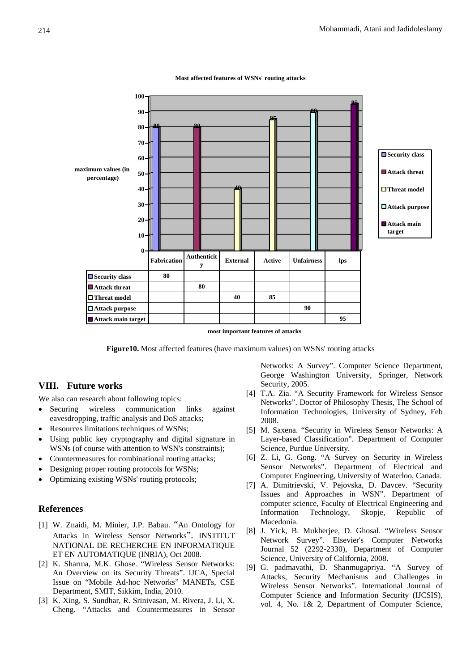

**Most affected features of WSNs' routing attacks**

**Figure10.** Most affected features (have maximum values) on WSNs' routing attacks

## **VIII. Future works**

We also can research about following topics:

- Securing wireless communication links against eavesdropping, traffic analysis and DoS attacks;
- Resources limitations techniques of WSNs;
- Using public key cryptography and digital signature in WSNs (of course with attention to WSN's constraints);
- Countermeasures for combinational routing attacks;
- Designing proper routing protocols for WSNs;
- Optimizing existing WSNs' routing protocols;

# **References**

- [1] W. Znaidi, M. Minier, J.P. Babau. "An Ontology for Attacks in Wireless Sensor Networks". INSTITUT NATIONAL DE RECHERCHE EN INFORMATIQUE ET EN AUTOMATIQUE (INRIA), Oct 2008.
- [2] K. Sharma, M.K. Ghose. "Wireless Sensor Networks: An Overview on its Security Threats". IJCA, Special Issue on "Mobile Ad-hoc Networks" MANETs, CSE Department, SMIT, Sikkim, India, 2010.
- [3] K. Xing, S. Sundhar, R. Srinivasan, M. Rivera, J. Li, X. Cheng. "Attacks and Countermeasures in Sensor

Networks: A Survey". Computer Science Department, George Washington University, Springer, Network Security, 2005.

- [4] T.A. Zia. "A Security Framework for Wireless Sensor Networks". Doctor of Philosophy Thesis, The School of Information Technologies, University of Sydney, Feb 2008.
- [5] M. Saxena. "Security in Wireless Sensor Networks: A Layer-based Classification". Department of Computer Science, Purdue University.
- [6] Z. Li, G. Gong. "A Survey on Security in Wireless Sensor Networks". Department of Electrical and Computer Engineering, University of Waterloo, Canada.
- [7] A. Dimitrievski, V. Pejovska, D. Davcev. "Security Issues and Approaches in WSN". Department of computer science, Faculty of Electrical Engineering and Information Technology, Skopje, Republic of Macedonia.
- [8] J. Yick, B. Mukherjee, D. Ghosal. "Wireless Sensor Network Survey". Elsevier's Computer Networks Journal 52 (2292-2330), Department of Computer Science, University of California, 2008.
- [9] G. padmavathi, D. Shanmugapriya. "A Survey of Attacks, Security Mechanisms and Challenges in Wireless Sensor Networks". International Journal of Computer Science and Information Security (IJCSIS), vol. 4, No. 1& 2, Department of Computer Science,